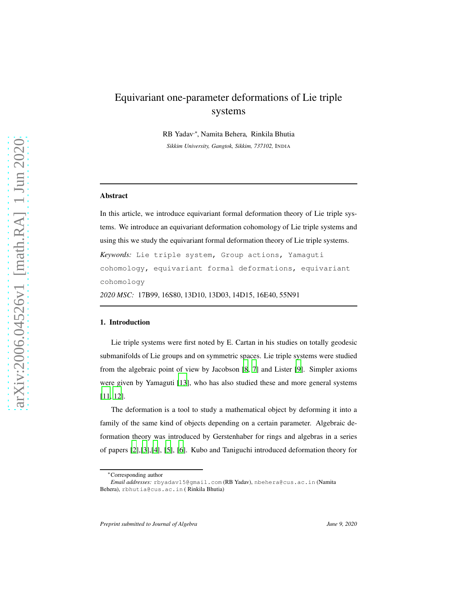# Equivariant one-parameter deformations of Lie triple systems

RB Yadav<sup>,∗</sup>, Namita Behera, Rinkila Bhutia *Sikkim University, Gangtok, Sikkim, 737102,* INDIA

### Abstract

In this article, we introduce equivariant formal deformation theory of Lie triple systems. We introduce an equivariant deformation cohomology of Lie triple systems and using this we study the equivariant formal deformation theory of Lie triple systems. *Keywords:* Lie triple system, Group actions, Yamaguti cohomology, equivariant formal deformations, equivariant cohomology

*2020 MSC:* 17B99, 16S80, 13D10, 13D03, 14D15, 16E40, 55N91

## 1. Introduction

Lie triple systems were first noted by E. Cartan in his studies on totally geodesic submanifolds of Lie groups and on symmetric spaces. Lie triple systems were studied from the algebraic point of view by Jacobson [\[8,](#page-15-0) [7\]](#page-15-1) and Lister [\[9](#page-15-2)]. Simpler axioms were given by Yamaguti [\[13\]](#page-15-3), who has also studied these and more general systems [\[11,](#page-15-4) [12\]](#page-15-5).

The deformation is a tool to study a mathematical object by deforming it into a family of the same kind of objects depending on a certain parameter. Algebraic deformation theory was introduced by Gerstenhaber for rings and algebras in a series of papers [\[2](#page-14-0)],[\[3\]](#page-14-1),[\[4\]](#page-14-2), [\[5\]](#page-14-3), [\[6\]](#page-15-6). Kubo and Taniguchi introduced deformation theory for

<sup>∗</sup>Corresponding author

*Email addresses:* rbyadav15@gmail.com (RB Yadav), nbehera@cus.ac.in (Namita Behera), rbhutia@cus.ac.in ( Rinkila Bhutia)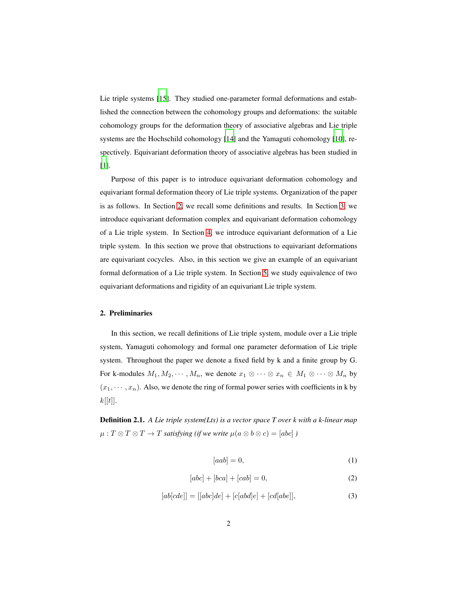Lie triple systems [\[15\]](#page-15-7). They studied one-parameter formal deformations and established the connection between the cohomology groups and deformations: the suitable cohomology groups for the deformation theory of associative algebras and Lie triple systems are the Hochschild cohomology [\[14](#page-15-8)] and the Yamaguti cohomology [\[10\]](#page-15-9), respectively. Equivariant deformation theory of associative algebras has been studied in [\[1](#page-14-4)].

Purpose of this paper is to introduce equivariant deformation cohomology and equivariant formal deformation theory of Lie triple systems. Organization of the paper is as follows. In Section [2,](#page-1-0) we recall some definitions and results. In Section [3,](#page-4-0) we introduce equivariant deformation complex and equivariant deformation cohomology of a Lie triple system. In Section [4,](#page-7-0) we introduce equivariant deformation of a Lie triple system. In this section we prove that obstructions to equivariant deformations are equivariant cocycles. Also, in this section we give an example of an equivariant formal deformation of a Lie triple system. In Section [5,](#page-13-0) we study equivalence of two equivariant deformations and rigidity of an equivariant Lie triple system.

## <span id="page-1-0"></span>2. Preliminaries

In this section, we recall definitions of Lie triple system, module over a Lie triple system, Yamaguti cohomology and formal one parameter deformation of Lie triple system. Throughout the paper we denote a fixed field by k and a finite group by G. For k-modules  $M_1, M_2, \cdots, M_n$ , we denote  $x_1 \otimes \cdots \otimes x_n \in M_1 \otimes \cdots \otimes M_n$  by  $(x_1, \dots, x_n)$ . Also, we denote the ring of formal power series with coefficients in k by  $k[[t]].$ 

Definition 2.1. *A Lie triple system(Lts) is a vector space T over k with a k-linear map*  $\mu: T \otimes T \otimes T \to T$  *satisfying (if we write*  $\mu(a \otimes b \otimes c) = [abc]$ )

$$
[aab] = 0,\t\t(1)
$$

$$
[abc] + [bca] + [cab] = 0,\t\t(2)
$$

$$
[ab[cde]] = [[abc]de] + [c[abd]e] + [cd[abe]], \qquad (3)
$$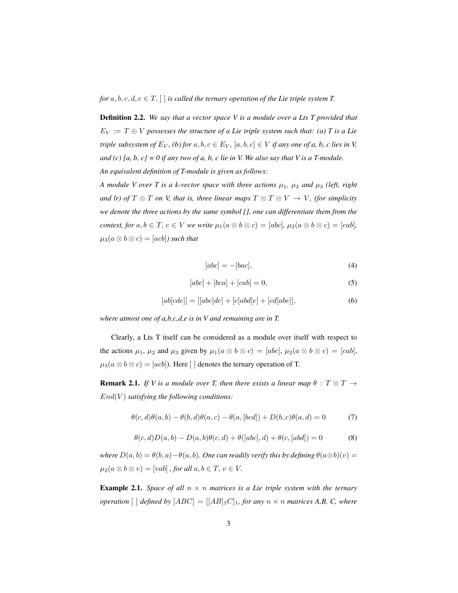*for*  $a, b, c, d, e \in T$ . [ ] *is called the ternary operation of the Lie triple system T.* 

Definition 2.2. *We say that a vector space V is a module over a Lts T provided that*  $E_V := T \oplus V$  *possesses the structure of a Lie triple system such that: (a) T is a Lie triple subsystem of*  $E_V$ , (b) for  $a, b, c \in E_V$ ,  $[a, b, c] \in V$  *if any one of a, b, c lies in V, and (c) [a, b, c]* = 0 *if any two of a, b, c lie in V. We also say that V is a T-module. An equivalent definition of T-module is given as follows:*

*A module V over T is a k-vector space with three actions*  $\mu_1$ ,  $\mu_2$  *and*  $\mu_3$  *(left, right and lr) of*  $T \otimes T$  *on V, that is, three linear maps*  $T \otimes T \otimes V \rightarrow V$ *, (for simplicity we denote the three actions by the same symbol [], one can differentiate them from the context, for*  $a, b \in T$ ,  $c \in V$  *we write*  $\mu_1(a \otimes b \otimes c) = [abc]$ ,  $\mu_2(a \otimes b \otimes c) = [cab]$ ,  $\mu_3(a \otimes b \otimes c) = [acb]$  *such that* 

$$
[abc] = -[bac],\tag{4}
$$

$$
[abc] + [bca] + [cab] = 0,\t\t(5)
$$

$$
[ab[cde]] = [[abc]de] + [c[abd]e] + [cd[abe]], \qquad (6)
$$

*where atmost one of a,b,c,d,e is in V and remaining are in T.*

Clearly, a Lts T itself can be considered as a module over itself with respect to the actions  $\mu_1$ ,  $\mu_2$  and  $\mu_3$  given by  $\mu_1(a \otimes b \otimes c) = [abc]$ ,  $\mu_2(a \otimes b \otimes c) = [cab]$ ,  $\mu_3(a \otimes b \otimes c) = [acb]$ ). Here [ ] denotes the ternary operation of T.

**Remark 2.1.** *If V is a module over T, then there exists a linear map*  $\theta : T \otimes T \rightarrow$ End(V ) *satisfying the following conditions:*

$$
\theta(c,d)\theta(a,b) - \theta(b,d)\theta(a,c) - \theta(a,[bcd]) + D(b,c)\theta(a,d) = 0 \tag{7}
$$

$$
\theta(c,d)D(a,b) - D(a,b)\theta(c,d) + \theta([abc],d) + \theta(c,[abd]) = 0 \tag{8}
$$

*where*  $D(a, b) = \theta(b, a) - \theta(a, b)$ *. One can readily verify this by defining*  $\theta(a \otimes b)(v) =$  $\mu_2(a \otimes b \otimes v) = [vab]$ , for all  $a, b \in T$ ,  $v \in V$ .

<span id="page-2-0"></span>**Example 2.1.** *Space of all*  $n \times n$  *matrices is a Lie triple system with the ternary operation*  $[ \ ]$  *defined by*  $[ABC] = [[AB]_1C]_1$ *, for any*  $n \times n$  *matrices* A,B, C, where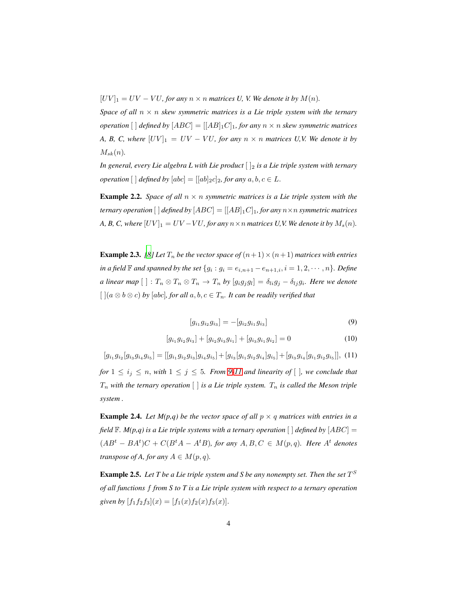$[UV]_1 = UV - VU$ , for any  $n \times n$  matrices U, V. We denote it by  $M(n)$ .

*Space of all*  $n \times n$  *skew symmetric matrices is a Lie triple system with the ternary operation*  $[ \ ]$  *defined by*  $[ABC] = [[AB]_1C]_1$ *, for any*  $n \times n$  *skew symmetric matrices A, B, C, where*  $[UV]_1 = UV - VU$ *, for any*  $n \times n$  *matrices U,V. We denote it by*  $M_{sk}(n)$ .

*In general, every Lie algebra L with Lie product*  $\vert \cdot \vert_2$  *is a Lie triple system with ternary operation*  $[ \ ]$  *defined by*  $[abc] = [[ab]_2c]_2$ *, for any*  $a, b, c \in L$ .

**Example 2.2.** *Space of all*  $n \times n$  *symmetric matrices is a Lie triple system with the ternary operation* [ ] *defined by*  $[ABC] = [[AB]_1C]_1$ *, for any*  $n \times n$  *symmetric matrices A, B, C, where*  $[UV]_1 = UV - VU$ *, for any*  $n \times n$  *matrices U,V. We denote it by*  $M_s(n)$ *.* 

<span id="page-3-2"></span>**Example 2.3.** *[\[8\]](#page-15-0)* Let  $T_n$  *be the vector space of*  $(n+1) \times (n+1)$  *matrices with entries in a field*  $\mathbb F$  *and spanned by the set*  $\{g_i : g_i = e_{i,n+1} - e_{n+1,i}, i = 1, 2, \cdots, n\}$ *. Define a linear map*  $[~] : T_n \otimes T_n \otimes T_n \to T_n$  by  $[g_i g_j g_l] = \delta_{li} g_j - \delta_{lj} g_i$ . Here we denote  $\left[ \right]$  [ $(a \otimes b \otimes c)$  *by* [abc], for all  $a, b, c \in T_n$ . It can be readily verified that

<span id="page-3-0"></span>
$$
[g_{i_1}g_{i_2}g_{i_3}] = -[g_{i_2}g_{i_1}g_{i_3}]
$$
\n(9)

$$
[g_{i_1}g_{i_2}g_{i_3}] + [g_{i_2}g_{i_3}g_{i_1}] + [g_{i_3}g_{i_1}g_{i_2}] = 0
$$
\n(10)

<span id="page-3-1"></span> $[g_{i_1}g_{i_2}[g_{i_3}g_{i_4}g_{i_5}] = [[g_{i_1}g_{i_2}g_{i_3}]g_{i_4}g_{i_5}] + [g_{i_3}[g_{i_1}g_{i_2}g_{i_4}]g_{i_5}] + [g_{i_3}g_{i_4}[g_{i_1}g_{i_2}g_{i_5}]],$  (11) *for*  $1 \leq i_j \leq n$ , *with*  $1 \leq j \leq 5$ *. From* [9](#page-3-0)[-11](#page-3-1) *and linearity of*  $\lceil \cdot \rceil$ *, we conclude that*  $T_n$  with the ternary operation  $\lceil \cdot \rceil$  *is a Lie triple system.*  $T_n$  *is called the Meson triple system .*

<span id="page-3-3"></span>**Example 2.4.** Let  $M(p,q)$  be the vector space of all  $p \times q$  matrices with entries in a *field*  $\mathbb{F}$ *. M(p,q)* is a Lie triple systems with a ternary operation  $\lceil \cdot \rceil$  *defined by*  $[ABC] =$  $(AB<sup>t</sup> - BA<sup>t</sup>)C + C(B<sup>t</sup>A - A<sup>t</sup>B)$ , for any  $A, B, C \in M(p,q)$ . Here  $A<sup>t</sup>$  denotes *transpose of A, for any*  $A \in M(p, q)$ *.* 

**Example 2.5.** Let T be a Lie triple system and S be any nonempty set. Then the set  $T^S$ *of all functions* f *from S to T is a Lie triple system with respect to a ternary operation given by*  $[f_1f_2f_3](x) = [f_1(x)f_2(x)f_3(x)].$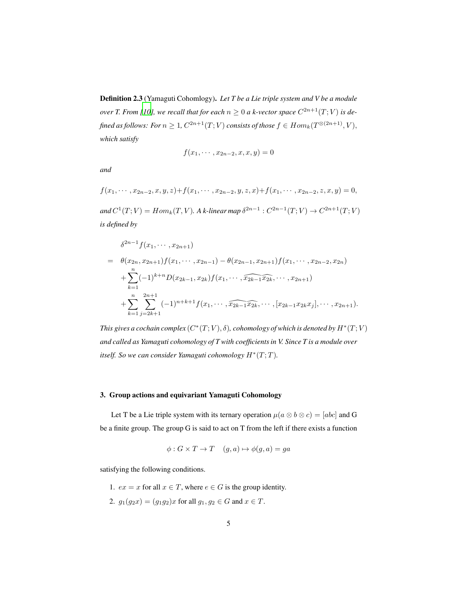Definition 2.3 (Yamaguti Cohomlogy). *Let T be a Lie triple system and V be a module over T. From [\[10](#page-15-9)], we recall that for each*  $n \geq 0$  *a k-vector space*  $C^{2n+1}(T;V)$  *is de*fined as follows: For  $n\geq 1$ ,  $C^{2n+1}(T; V)$  consists of those  $f\in Hom_k(T^{\otimes (2n+1)}, V),$ *which satisfy*

$$
f(x_1, \cdots, x_{2n-2}, x, x, y) = 0
$$

*and*

$$
f(x_1, \cdots, x_{2n-2}, x, y, z) + f(x_1, \cdots, x_{2n-2}, y, z, x) + f(x_1, \cdots, x_{2n-2}, z, x, y) = 0,
$$

and  $C^1(T; V) = Hom_k(T, V)$ . A k-linear map  $\delta^{2n-1} : C^{2n-1}(T; V) \to C^{2n+1}(T; V)$ *is defined by*

$$
\delta^{2n-1} f(x_1, \dots, x_{2n+1})
$$
\n
$$
= \theta(x_{2n}, x_{2n+1}) f(x_1, \dots, x_{2n-1}) - \theta(x_{2n-1}, x_{2n+1}) f(x_1, \dots, x_{2n-2}, x_{2n})
$$
\n
$$
+ \sum_{k=1}^n (-1)^{k+n} D(x_{2k-1}, x_{2k}) f(x_1, \dots, \widehat{x_{2k-1} x_{2k}}, \dots, x_{2n+1})
$$
\n
$$
+ \sum_{k=1}^n \sum_{j=2k+1}^{2n+1} (-1)^{n+k+1} f(x_1, \dots, \widehat{x_{2k-1} x_{2k}}, \dots, [x_{2k-1} x_{2k} x_j], \dots, x_{2n+1}).
$$

This gives a cochain complex  $(C^*(T;V), \delta)$ , cohomology of which is denoted by  $H^*(T;V)$ *and called as Yamaguti cohomology of T with coefficients in V. Since T is a module over itself.* So we can consider Yamaguti cohomology  $H^*(T;T)$ .

## <span id="page-4-0"></span>3. Group actions and equivariant Yamaguti Cohomology

Let T be a Lie triple system with its ternary operation  $\mu(a \otimes b \otimes c) = [abc]$  and G be a finite group. The group G is said to act on T from the left if there exists a function

$$
\phi: G \times T \to T \quad (g, a) \mapsto \phi(g, a) = ga
$$

satisfying the following conditions.

1.  $ex = x$  for all  $x \in T$ , where  $e \in G$  is the group identity.

2.  $g_1(g_2x) = (g_1g_2)x$  for all  $g_1, g_2 \in G$  and  $x \in T$ .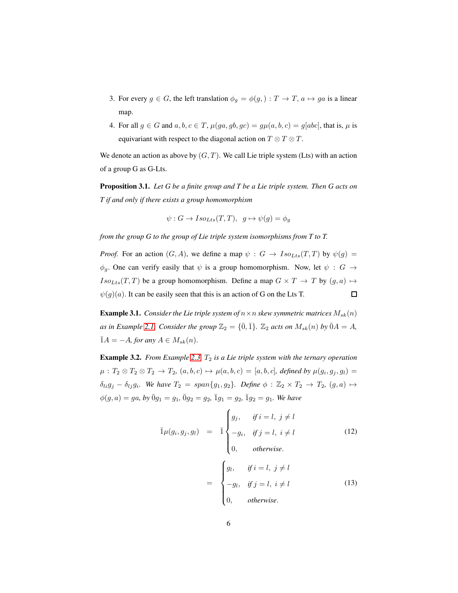- 3. For every  $g \in G$ , the left translation  $\phi_g = \phi(g) : T \to T$ ,  $a \mapsto ga$  is a linear map.
- 4. For all  $g \in G$  and  $a, b, c \in T$ ,  $\mu(ga, gb, gc) = g\mu(a, b, c) = g[abc]$ , that is,  $\mu$  is equivariant with respect to the diagonal action on  $T \otimes T \otimes T$ .

We denote an action as above by  $(G, T)$ . We call Lie triple system (Lts) with an action of a group G as G-Lts.

Proposition 3.1. *Let G be a finite group and T be a Lie triple system. Then G acts on T if and only if there exists a group homomorphism*

$$
\psi: G \to Iso_{Lts}(T,T), \ g \mapsto \psi(g) = \phi_g
$$

*from the group G to the group of Lie triple system isomorphisms from T to T.*

*Proof.* For an action  $(G, A)$ , we define a map  $\psi : G \to Iso_{Lts}(T, T)$  by  $\psi(g) =$  $\phi_g$ . One can verify easily that  $\psi$  is a group homomorphism. Now, let  $\psi : G \rightarrow$  $Iso_{Lts}(T, T)$  be a group homomorphism. Define a map  $G \times T \to T$  by  $(g, a) \mapsto$  $\psi(g)(a)$ . It can be easily seen that this is an action of G on the Lts T.  $\Box$ 

**Example 3.1.** *Consider the Lie triple system of*  $n \times n$  *skew symmetric matrices*  $M_{sk}(n)$ *as in Example* [2.1.](#page-2-0) *Consider the group*  $\mathbb{Z}_2 = {\{\overline{0}, \overline{1}\}}$ *.*  $\mathbb{Z}_2$  *acts on*  $M_{sk}(n)$  *by*  $\overline{0}A = A$ *,*  $\overline{1}A = -A$ *, for any*  $A \in M_{sk}(n)$ .

<span id="page-5-1"></span>**Example 3.2.** *From Example* [2.3,](#page-3-2)  $T_2$  *is a Lie triple system with the ternary operation*  $\mu:T_2\otimes T_2\otimes T_2\rightarrow T_2,\ (a,b,c)\mapsto \mu(a,b,c)=[a,b,c],$  defined by  $\mu(g_i,g_j,g_l)=$  $\delta_{li}g_j - \delta_{lj}g_i$ . We have  $T_2 = span\{g_1, g_2\}$ . Define  $\phi : \mathbb{Z}_2 \times T_2 \to T_2$ ,  $(g, a) \mapsto$  $\phi(g, a) = ga$ , by  $\bar{0}g_1 = g_1$ ,  $\bar{0}g_2 = g_2$ ,  $\bar{1}g_1 = g_2$ ,  $\bar{1}g_2 = g_1$ . We have

<span id="page-5-0"></span>
$$
\overline{1}\mu(g_i, g_j, g_l) = \overline{1} \begin{cases} g_j, & \text{if } i = l, j \neq l \\ -g_i, & \text{if } j = l, i \neq l \\ 0, & \text{otherwise.} \end{cases} \tag{12}
$$
\n
$$
\begin{cases} g_l, & \text{if } i = l, j \neq l \\ \end{cases}
$$

$$
= \begin{cases} g_i, & j = i, j \neq i \\ -g_i, & \text{if } j = l, i \neq l \\ 0, & \text{otherwise.} \end{cases} \tag{13}
$$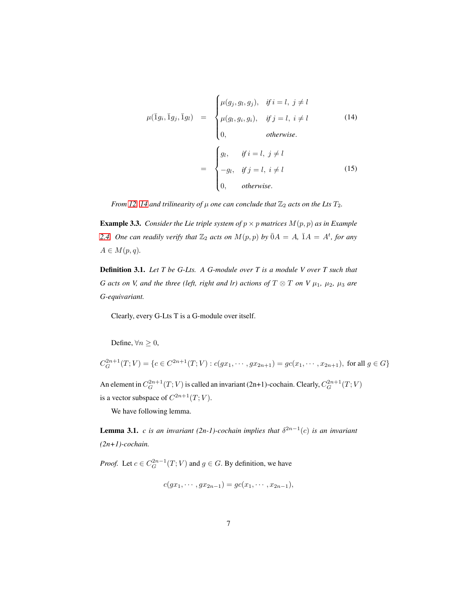<span id="page-6-0"></span>
$$
\mu(\bar{1}g_i, \bar{1}g_j, \bar{1}g_l) = \begin{cases} \mu(g_j, g_i, g_j), & \text{if } i = l, j \neq l \\ \mu(g_l, g_i, g_i), & \text{if } j = l, i \neq l \\ 0, & \text{otherwise.} \end{cases}
$$
\n
$$
= \begin{cases} g_l, & \text{if } i = l, j \neq l \\ -g_l, & \text{if } j = l, i \neq l \\ 0, & \text{otherwise.} \end{cases}
$$
\n(15)

*From [12,](#page-5-0) [14](#page-6-0) and trilinearity of*  $\mu$  *one can conclude that*  $\mathbb{Z}_2$  *acts on the Lts*  $T_2$ *.* 

**Example 3.3.** *Consider the Lie triple system of*  $p \times p$  *matrices*  $M(p, p)$  *as in Example* [2.4.](#page-3-3) One can readily verify that  $\mathbb{Z}_2$  acts on  $M(p, p)$  by  $\overline{0}A = A$ ,  $\overline{1}A = A^t$ , for any  $A \in M(p,q)$ .

Definition 3.1. *Let T be G-Lts. A G-module over T is a module V over T such that G* acts on *V, and the three (left, right and lr) actions of*  $T \otimes T$  *on V*  $\mu_1$ *,*  $\mu_2$ *,*  $\mu_3$  *are G-equivariant.*

Clearly, every G-Lts T is a G-module over itself.

Define,  $\forall n \geq 0$ ,

$$
C_G^{2n+1}(T;V) = \{c \in C^{2n+1}(T;V) : c(gx_1, \cdots, gx_{2n+1}) = gc(x_1, \cdots, x_{2n+1}), \text{ for all } g \in G\}
$$

An element in  $C_G^{2n+1}(T; V)$  is called an invariant (2n+1)-cochain. Clearly,  $C_G^{2n+1}(T; V)$ is a vector subspace of  $C^{2n+1}(T; V)$ .

We have following lemma.

<span id="page-6-1"></span>**Lemma 3.1.** *c is an invariant* (2*n-1*)-cochain implies that  $\delta^{2n-1}(c)$  is an invariant *(2n+1)-cochain.*

*Proof.* Let  $c \in C_G^{2n-1}(T; V)$  and  $g \in G$ . By definition, we have

$$
c(gx_1, \cdots, gx_{2n-1}) = gc(x_1, \cdots, x_{2n-1}),
$$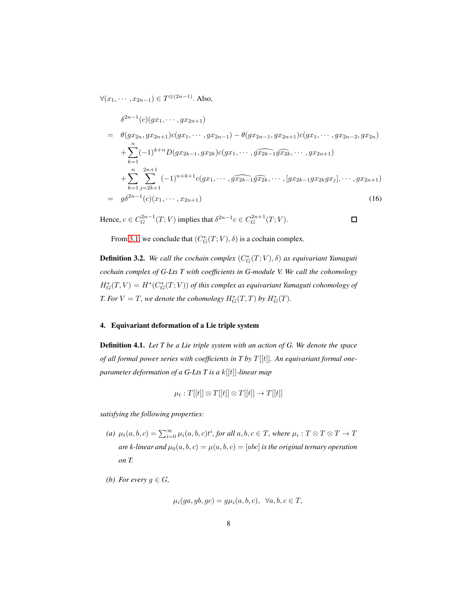$\forall (x_1, \cdots, x_{2n-1}) \in T^{\otimes (2n-1)}$ . Also,

$$
\delta^{2n-1}(c)(gx_1, \cdots, gx_{2n+1})
$$
\n
$$
= \theta(gx_{2n}, gx_{2n+1})c(gx_1, \cdots, gx_{2n-1}) - \theta(gx_{2n-1}, gx_{2n+1})c(gx_1, \cdots, gx_{2n-2}, gx_{2n})
$$
\n
$$
+ \sum_{k=1}^{n} (-1)^{k+n} D(gx_{2k-1}, gx_{2k})c(gx_1, \cdots, \widehat{gx_{2k-1}}g\widehat{x_{2k}}, \cdots, gx_{2n+1})
$$
\n
$$
+ \sum_{k=1}^{n} \sum_{j=2k+1}^{2n+1} (-1)^{n+k+1} c(gx_1, \cdots, \widehat{gx_{2k-1}}g\widehat{x_{2k}}, \cdots, [gx_{2k-1}gx_{2k}gx_j], \cdots, gx_{2n+1})
$$
\n
$$
= g\delta^{2n-1}(c)(x_1, \cdots, x_{2n+1})
$$
\n(16)

Hence,  $c \in C_G^{2n-1}(T; V)$  implies that  $\delta^{2n-1} c \in C_G^{2n+1}(T; V)$ .

 $\square$ 

From [3.1,](#page-6-1) we conclude that  $(C_G^*(T; V), \delta)$  is a cochain complex.

**Definition 3.2.** We call the cochain complex  $(C_G^*(T; V), \delta)$  as equivariant Yamaguti *cochain complex of G-Lts T with coefficients in G-module V. We call the cohomology*  $H^*_G(T, V) = H^*(C^*_G(T; V))$  of this complex as equivariant Yamaguti cohomology of *T.* For  $V = T$ , we denote the cohomology  $H_G^*(T,T)$  by  $H_G^*(T)$ .

## <span id="page-7-0"></span>4. Equivariant deformation of a Lie triple system

<span id="page-7-1"></span>Definition 4.1. *Let T be a Lie triple system with an action of G. We denote the space of all formal power series with coefficients in T by* T [[t]]*. An equivariant formal oneparameter deformation of a G-Lts T is a* k[[t]]*-linear map*

$$
\mu_t: T[[t]] \otimes T[[t]] \otimes T[[t]] \to T[[t]]
$$

*satisfying the following properties:*

- (a)  $\mu_t(a, b, c) = \sum_{i=0}^{\infty} \mu_i(a, b, c) t^i$ , for all  $a, b, c \in T$ , where  $\mu_i : T \otimes T \otimes T \to T$ *are k-linear and*  $\mu_0(a, b, c) = \mu(a, b, c) = [abc]$  *is the original ternary operation on T.*
- *(b) For every*  $g \in G$ *,*

$$
\mu_i(ga,gb,gc) = g\mu_i(a,b,c), \ \forall a,b,c \in T,
$$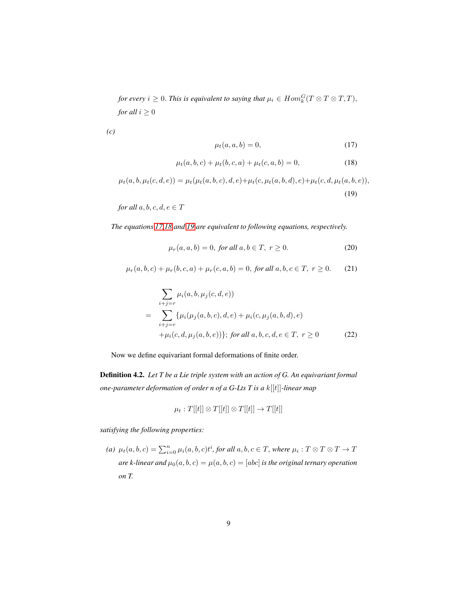*for every*  $i \geq 0$ . *This is equivalent to saying that*  $\mu_i \in Hom_k^G(T \otimes T \otimes T, T)$ , *for all*  $i \geq 0$ 

*(c)*

<span id="page-8-0"></span>
$$
\mu_t(a, a, b) = 0,\tag{17}
$$

<span id="page-8-1"></span>
$$
\mu_t(a, b, c) + \mu_t(b, c, a) + \mu_t(c, a, b) = 0,
$$
\n(18)

<span id="page-8-2"></span>
$$
\mu_t(a, b, \mu_t(c, d, e)) = \mu_t(\mu_t(a, b, c), d, e) + \mu_t(c, \mu_t(a, b, d), e) + \mu_t(c, d, \mu_t(a, b, e)),
$$
\n(19)

*for all*  $a, b, c, d, e \in T$ 

*The equations [17](#page-8-0)[,18](#page-8-1) and [19](#page-8-2) are equivalent to following equations, respectively.*

<span id="page-8-3"></span>
$$
\mu_r(a, a, b) = 0, \text{ for all } a, b \in T, r \ge 0. \tag{20}
$$

<span id="page-8-5"></span>
$$
\mu_r(a, b, c) + \mu_r(b, c, a) + \mu_r(c, a, b) = 0, \text{ for all } a, b, c \in T, r \ge 0. \tag{21}
$$

<span id="page-8-4"></span>
$$
\sum_{i+j=r} \mu_i(a, b, \mu_j(c, d, e))
$$
\n
$$
= \sum_{i+j=r} \{\mu_i(\mu_j(a, b, c), d, e) + \mu_i(c, \mu_j(a, b, d), e) + \mu_i(c, d, \mu_j(a, b, e))\}; \text{ for all } a, b, c, d, e \in T, r \ge 0 \tag{22}
$$

Now we define equivariant formal deformations of finite order.

Definition 4.2. *Let T be a Lie triple system with an action of G. An equivariant formal one-parameter deformation of order n of a G-Lts T is a* k[[t]]*-linear map*

$$
\mu_t: T[[t]] \otimes T[[t]] \otimes T[[t]] \to T[[t]]
$$

*satisfying the following properties:*

(a)  $\mu_t(a, b, c) = \sum_{i=0}^n \mu_i(a, b, c) t^i$ , for all  $a, b, c \in T$ , where  $\mu_i : T \otimes T \otimes T \to T$ *are k-linear and*  $\mu_0(a, b, c) = \mu(a, b, c) = [abc]$  *is the original ternary operation on T.*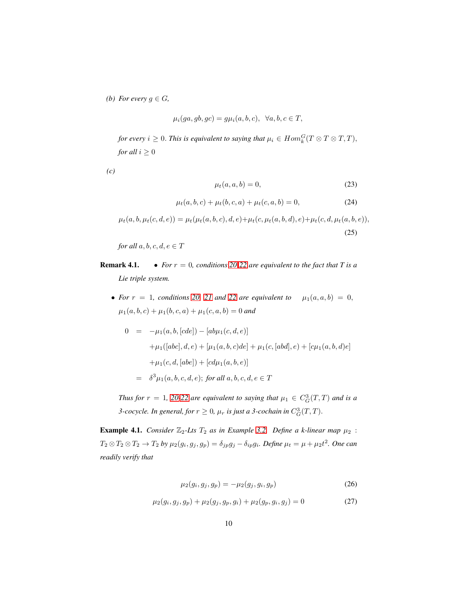*(b)* For every  $g \in G$ ,

$$
\mu_i(ga,gb,gc) = g\mu_i(a,b,c), \ \ \forall a,b,c \in T,
$$

*for every*  $i \geq 0$ . *This is equivalent to saying that*  $\mu_i \in Hom_k^G(T \otimes T \otimes T, T)$ , *for all*  $i \geq 0$ 

*(c)*

$$
\mu_t(a, a, b) = 0,\tag{23}
$$

$$
\mu_t(a, b, c) + \mu_t(b, c, a) + \mu_t(c, a, b) = 0,
$$
\n(24)

$$
\mu_t(a, b, \mu_t(c, d, e)) = \mu_t(\mu_t(a, b, c), d, e) + \mu_t(c, \mu_t(a, b, d), e) + \mu_t(c, d, \mu_t(a, b, e)),
$$
\n(25)

*for all*  $a, b, c, d, e \in T$ 

**Remark 4.1.** • *For*  $r = 0$ *, conditions* [20-](#page-8-3)[22](#page-8-4) *are equivalent to the fact that T* is a *Lie triple system.*

• For  $r = 1$ , conditions [20,](#page-8-3) [21](#page-8-5) and [22](#page-8-4) are equivalent to  $\mu_1(a, a, b) = 0$ ,  $\mu_1(a, b, c) + \mu_1(b, c, a) + \mu_1(c, a, b) = 0$  and

$$
0 = -\mu_1(a, b, [cde]) - [ab\mu_1(c, d, e)]
$$
  
+  $\mu_1([abc], d, e) + [\mu_1(a, b, c)de] + \mu_1(c, [abd], e) + [c\mu_1(a, b, d)e]$   
+  $\mu_1(c, d, [abe]) + [cd\mu_1(a, b, e)]$   
=  $\delta^3 \mu_1(a, b, c, d, e)$ ; for all  $a, b, c, d, e \in T$ 

*Thus for*  $r = 1$ , [20](#page-8-3)[-22](#page-8-4) are equivalent to saying that  $\mu_1 \in C_G^3(T,T)$  and is a *3-cocycle. In general, for*  $r \geq 0$ ,  $\mu_r$  *is just a 3-cochain in*  $C_G^3(T,T)$ *.* 

**Example 4.1.** *Consider*  $\mathbb{Z}_2$ -Lts  $T_2$  *as in Example [3.2.](#page-5-1) Define a k-linear map*  $\mu_2$  :  $T_2 \otimes T_2 \otimes T_2 \to T_2$  by  $\mu_2(g_i, g_j, g_p) = \delta_{jp}g_j - \delta_{ip}g_i$ . Define  $\mu_t = \mu + \mu_2 t^2$ . One can *readily verify that*

<span id="page-9-0"></span>
$$
\mu_2(g_i, g_j, g_p) = -\mu_2(g_j, g_i, g_p) \tag{26}
$$

$$
\mu_2(g_i, g_j, g_p) + \mu_2(g_j, g_p, g_i) + \mu_2(g_p, g_i, g_j) = 0 \tag{27}
$$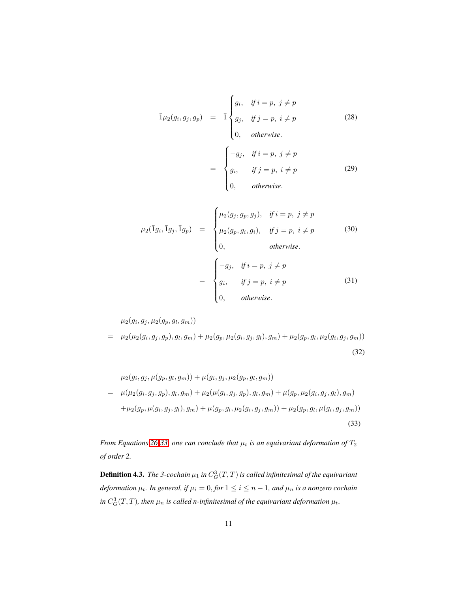$$
\overline{1}\mu_2(g_i, g_j, g_p) = \overline{1}\begin{cases}\ng_i, & \text{if } i = p, j \neq p \\
g_j, & \text{if } j = p, i \neq p \\
0, & \text{otherwise.} \n\end{cases}
$$
\n(28)

$$
= \begin{cases}\n-g_j, & \text{if } i = p, \ j \neq p \\
g_i, & \text{if } j = p, \ i \neq p \\
0, & \text{otherwise.} \n\end{cases}
$$
\n(29)

$$
\mu_2(\bar{1}g_i, \bar{1}g_j, \bar{1}g_p) = \begin{cases} \mu_2(g_j, g_p, g_j), & \text{if } i = p, j \neq p \\ \mu_2(g_p, g_i, g_i), & \text{if } j = p, i \neq p \\ 0, & \text{otherwise.} \end{cases}
$$
\n
$$
= \begin{cases} -g_j, & \text{if } i = p, j \neq p \\ g_i, & \text{if } j = p, i \neq p \\ 0, & \text{otherwise.} \end{cases}
$$
\n(31)

 $\mu_2(g_i,g_j,\mu_2(g_p,g_l,g_m))$ 

$$
= \mu_2(\mu_2(g_i, g_j, g_p), g_l, g_m) + \mu_2(g_p, \mu_2(g_i, g_j, g_l), g_m) + \mu_2(g_p, g_l, \mu_2(g_i, g_j, g_m))
$$
\n(32)

<span id="page-10-0"></span>
$$
\mu_2(g_i, g_j, \mu(g_p, g_l, g_m)) + \mu(g_i, g_j, \mu_2(g_p, g_l, g_m))
$$
\n
$$
= \mu(\mu_2(g_i, g_j, g_p), g_l, g_m) + \mu_2(\mu(g_i, g_j, g_p), g_l, g_m) + \mu(g_p, \mu_2(g_i, g_j, g_l), g_m)
$$
\n
$$
+ \mu_2(g_p, \mu(g_i, g_j, g_l), g_m) + \mu(g_p, g_l, \mu_2(g_i, g_j, g_m)) + \mu_2(g_p, g_l, \mu(g_i, g_j, g_m))
$$
\n(33)

*From Equations* [26](#page-9-0)[-33,](#page-10-0) one can conclude that  $\mu_t$  *is an equivariant deformation of*  $T_2$ *of order 2.*

**Definition 4.3.** The 3-cochain  $\mu_1$  in  $C_G^3(T,T)$  is called infinitesimal of the equivariant *deformation*  $\mu_t$ *. In general, if*  $\mu_i = 0$ *, for*  $1 \leq i \leq n-1$ *, and*  $\mu_n$  *is a nonzero cochain* in  $C_G^3(T,T)$ , then  $\mu_n$  is called n-infinitesimal of the equivariant deformation  $\mu_t$ .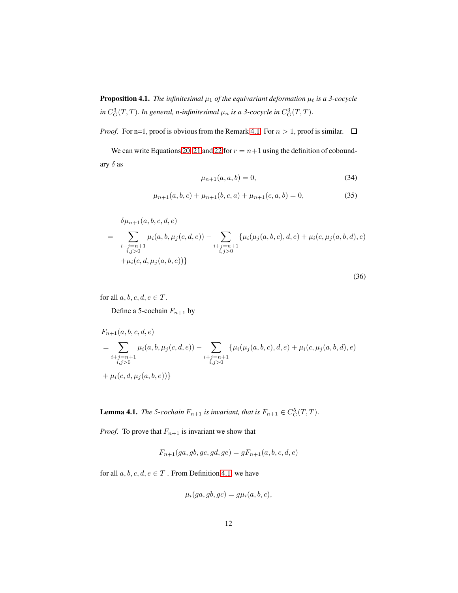**Proposition 4.1.** *The infinitesimal*  $\mu_1$  *of the equivariant deformation*  $\mu_t$  *is a 3-cocycle* in  $C_G^3(T,T)$ . In general, n-infinitesimal  $\mu_n$  is a 3-cocycle in  $C_G^3(T,T)$ .

*Proof.* For n=1, proof is obvious from the Remark 4.1. For  $n > 1$ , proof is similar.  $\Box$ 

We can write Equations [20,](#page-8-3) [21](#page-8-5) and [22](#page-8-4) for  $r = n+1$  using the definition of coboundary  $\delta$  as

$$
\mu_{n+1}(a, a, b) = 0,\t\t(34)
$$

$$
\mu_{n+1}(a,b,c) + \mu_{n+1}(b,c,a) + \mu_{n+1}(c,a,b) = 0,\tag{35}
$$

$$
\delta \mu_{n+1}(a, b, c, d, e)
$$
\n
$$
= \sum_{\substack{i+j=n+1 \\ i,j>0}} \mu_i(a, b, \mu_j(c, d, e)) - \sum_{\substack{i+j=n+1 \\ i,j>0}} \{\mu_i(\mu_j(a, b, c), d, e) + \mu_i(c, \mu_j(a, b, d), e) + \mu_i(c, \mu_j(a, b, d), e)\}
$$

(36)

for all  $a, b, c, d, e \in T$ .

Define a 5-cochain  $F_{n+1}$  by

$$
F_{n+1}(a, b, c, d, e)
$$
  
= 
$$
\sum_{\substack{i+j=n+1\\i,j>0}} \mu_i(a, b, \mu_j(c, d, e)) - \sum_{\substack{i+j=n+1\\i,j>0}} \{\mu_i(\mu_j(a, b, c), d, e) + \mu_i(c, \mu_j(a, b, d), e)
$$
  
+ 
$$
\mu_i(c, d, \mu_j(a, b, e))\}
$$

<span id="page-11-0"></span>**Lemma 4.1.** *The 5-cochain*  $F_{n+1}$  *is invariant, that is*  $F_{n+1} \in C_G^5(T,T)$ *.* 

*Proof.* To prove that  $F_{n+1}$  is invariant we show that

$$
F_{n+1}(ga,gb,gc,gd,ge) = gF_{n+1}(a,b,c,d,e)
$$

for all  $a, b, c, d, e \in T$ . From Definition [4.1,](#page-7-1) we have

$$
\mu_i(ga, gb, gc) = g\mu_i(a, b, c),
$$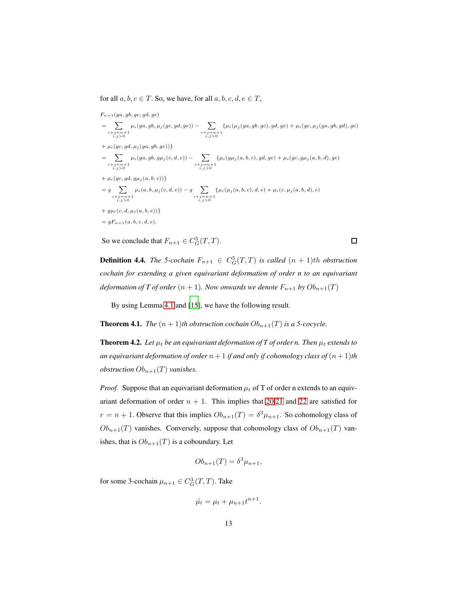for all  $a, b, c \in T$ . So, we have, for all  $a, b, c, d, e \in T$ ,

 $F_{n+1}(ga, gb, gc, gd, ge)$ = X  $i+j=n+1$ <br> $i,j>0$  $\mu_i(ga,gb,\mu_j(gc,gd,ge)) - \sum$  $i+j=n+1$ <br> $i,j>0$  $\{\mu_i(\mu_j(ga,gb,gc), gd, ge) + \mu_i(gc, \mu_j(ga,gb, gd), ge)\}$  $+ \mu_i(gc, gd, \mu_i(ga, gb, ge))\}$ = X  $i+j=n+1$ <br> $i,j>0$  $\mu_i(ga,gb,g\mu_j(c,d,e))$  –  $\sum$  $i+j=n+1$ <br> $i,j>0$  ${\mu_i(g\mu_j(a, b, c), gd, ge) + \mu_i(gc, g\mu_j(a, b, d), ge)}$  $+ \mu_i(gc, gd, g\mu_j(a, b, e))\}$  $= g \quad \sum$  $i+j=n+1$ <br> $i,j>0$  $\mu_i(a, b, \mu_j(c, d, e)) - g \quad \sum$  $i+j=n+1$ <br> $i,j>0$  $\{\mu_i(\mu_j(a, b, c), d, e) + \mu_i(c, \mu_j(a, b, d), e)\}$  $+ g\mu_i(c, d, \mu_i(a, b, e))$  $= qF_{n+1}(a, b, c, d, e).$ 

So we conclude that  $F_{n+1} \in C_G^5(T, T)$ .

**Definition 4.4.** *The 5-cochain*  $F_{n+1} \in C_G^5(T,T)$  *is called*  $(n + 1)$ *th obstruction cochain for extending a given equivariant deformation of order n to an equivariant deformation of T of order*  $(n + 1)$ *. Now onwards we denote*  $F_{n+1}$  *by*  $Ob_{n+1}(T)$ 

By using Lemma [4.1](#page-11-0) and [\[15\]](#page-15-7), we have the following result.

**Theorem 4.1.** *The*  $(n + 1)$ *th obstruction cochain*  $Ob_{n+1}(T)$  *is a 5-cocycle.* 

**Theorem 4.2.** Let  $\mu_t$  be an equivariant deformation of T of order n. Then  $\mu_t$  extends to *an equivariant deformation of order*  $n + 1$  *if and only if cohomology class of*  $(n + 1)$ *th obstruction*  $Ob_{n+1}(T)$  *vanishes.* 

*Proof.* Suppose that an equivariant deformation  $\mu_t$  of T of order n extends to an equivariant deformation of order  $n + 1$ . This implies that [20,](#page-8-3)[21](#page-8-5) and [22](#page-8-4) are satisfied for  $r = n + 1$ . Observe that this implies  $Ob_{n+1}(T) = \delta^3 \mu_{n+1}$ . So cohomology class of  $Ob_{n+1}(T)$  vanishes. Conversely, suppose that cohomology class of  $Ob_{n+1}(T)$  vanishes, that is  $Ob_{n+1}(T)$  is a coboundary. Let

$$
Ob_{n+1}(T) = \delta^3 \mu_{n+1},
$$

for some 3-cochain  $\mu_{n+1} \in C_G^3(T,T)$ . Take

$$
\tilde{\mu_t} = \mu_t + \mu_{n+1}t^{n+1}.
$$

 $\Box$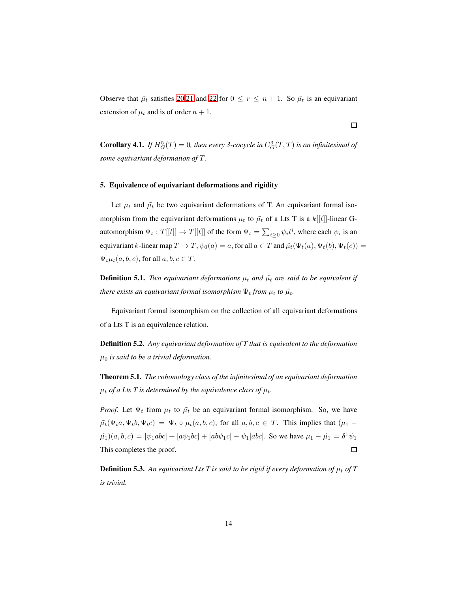Observe that  $\tilde{\mu}_t$  satisfies [20,](#page-8-3)[21](#page-8-5) and [22](#page-8-4) for  $0 \le r \le n + 1$ . So  $\tilde{\mu}_t$  is an equivariant extension of  $\mu_t$  and is of order  $n + 1$ .

 $\Box$ 

**Corollary 4.1.** If  $H_G^5(T) = 0$ , then every 3-cocycle in  $C_G^3(T, T)$  is an infinitesimal of *some equivariant deformation of* T.

## <span id="page-13-0"></span>5. Equivalence of equivariant deformations and rigidity

Let  $\mu_t$  and  $\tilde{\mu}_t$  be two equivariant deformations of T. An equivariant formal isomorphism from the equivariant deformations  $\mu_t$  to  $\tilde{\mu}_t$  of a Lts T is a  $k[[t]]$ -linear Gautomorphism  $\Psi_t: T[[t]] \to T[[t]]$  of the form  $\Psi_t = \sum_{i \geq 0} \psi_i t^i$ , where each  $\psi_i$  is an equivariant k-linear map  $T \to T$ ,  $\psi_0(a) = a$ , for all  $a \in T$  and  $\tilde{\mu}_t(\Psi_t(a), \Psi_t(b), \Psi_t(c)) =$  $\Psi_t\mu_t(a, b, c)$ , for all  $a, b, c \in T$ .

**Definition 5.1.** *Two equivariant deformations*  $\mu_t$  *and*  $\tilde{\mu}_t$  *are said to be equivalent if there exists an equivariant formal isomorphism*  $\Psi_t$  *from*  $\mu_t$  *to*  $\tilde{\mu_t}$ *.* 

Equivariant formal isomorphism on the collection of all equivariant deformations of a Lts T is an equivalence relation.

Definition 5.2. *Any equivariant deformation of T that is equivalent to the deformation* µ<sup>0</sup> *is said to be a trivial deformation.*

Theorem 5.1. *The cohomology class of the infinitesimal of an equivariant deformation*  $\mu_t$  *of a Lts T is determined by the equivalence class of*  $\mu_t$ *.* 

*Proof.* Let  $\Psi_t$  from  $\mu_t$  to  $\tilde{\mu}_t$  be an equivariant formal isomorphism. So, we have  $\tilde{\mu}_t(\Psi_t a, \Psi_t b, \Psi_t c) = \Psi_t \circ \mu_t(a, b, c)$ , for all  $a, b, c \in T$ . This implies that  $(\mu_1 (\tilde{\mu}_1)(a, b, c) = [\psi_1 abc] + [a\psi_1 bc] + [a b\psi_1 c] - \psi_1 [a b c]$ . So we have  $\mu_1 - \tilde{\mu_1} = \delta^1 \psi_1$ This completes the proof.  $\Box$ 

**Definition 5.3.** An equivariant Lts T is said to be rigid if every deformation of  $\mu_t$  of T *is trivial.*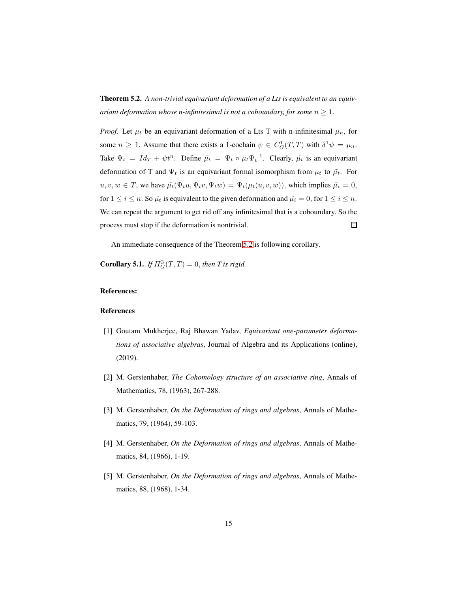<span id="page-14-5"></span>Theorem 5.2. *A non-trivial equivariant deformation of a Lts is equivalent to an equivariant deformation whose n-infinitesimal is not a coboundary, for some*  $n \geq 1$ .

*Proof.* Let  $\mu_t$  be an equivariant deformation of a Lts T with n-infinitesimal  $\mu_n$ , for some  $n \ge 1$ . Assume that there exists a 1-cochain  $\psi \in C_G^1(T,T)$  with  $\delta^1 \psi = \mu_n$ . Take  $\Psi_t = Id_T + \psi t^n$ . Define  $\tilde{\mu}_t = \Psi_t \circ \mu_t \Psi_t^{-1}$ . Clearly,  $\tilde{\mu}_t$  is an equivariant deformation of T and  $\Psi_t$  is an equivariant formal isomorphism from  $\mu_t$  to  $\tilde{\mu}_t$ . For  $u, v, w \in T$ , we have  $\tilde{\mu}_t(\Psi_t u, \Psi_t v, \Psi_t w) = \Psi_t(\mu_t(u, v, w))$ , which implies  $\tilde{\mu}_i = 0$ , for  $1 \le i \le n$ . So  $\tilde{\mu}_t$  is equivalent to the given deformation and  $\tilde{\mu}_i = 0$ , for  $1 \le i \le n$ . We can repeat the argument to get rid off any infinitesimal that is a coboundary. So the process must stop if the deformation is nontrivial. □

An immediate consequence of the Theorem [5.2](#page-14-5) is following corollary.

**Corollary 5.1.** *If*  $H_G^3(T,T) = 0$ *, then T is rigid.* 

## References:

### References

- <span id="page-14-4"></span>[1] Goutam Mukherjee, Raj Bhawan Yadav, *Equivariant one-parameter deformations of associative algebras*, Journal of Algebra and its Applications (online), (2019).
- <span id="page-14-0"></span>[2] M. Gerstenhaber, *The Cohomology structure of an associative ring*, Annals of Mathematics, 78, (1963), 267-288.
- <span id="page-14-1"></span>[3] M. Gerstenhaber, *On the Deformation of rings and algebras*, Annals of Mathematics, 79, (1964), 59-103.
- <span id="page-14-2"></span>[4] M. Gerstenhaber, *On the Deformation of rings and algebras*, Annals of Mathematics, 84, (1966), 1-19.
- <span id="page-14-3"></span>[5] M. Gerstenhaber, *On the Deformation of rings and algebras*, Annals of Mathematics, 88, (1968), 1-34.